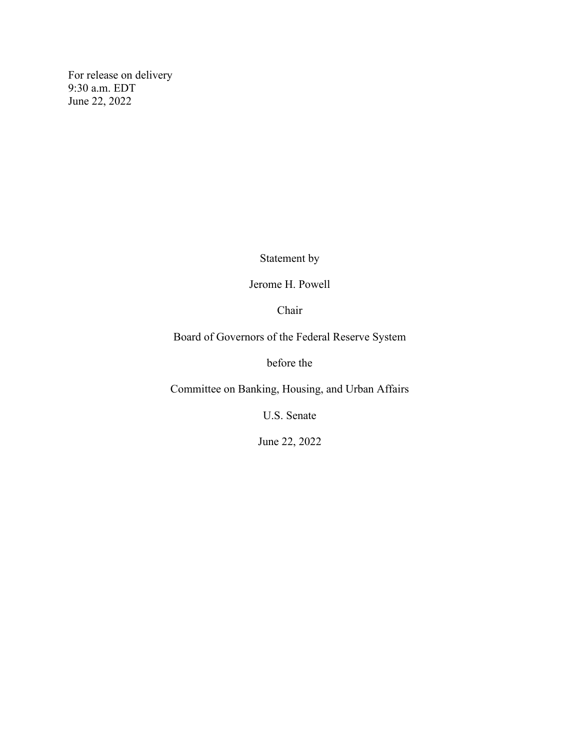For release on delivery 9:30 a.m. EDT June 22, 2022

Statement by

Jerome H. Powell

Chair

Board of Governors of the Federal Reserve System

before the

Committee on Banking, Housing, and Urban Affairs

U.S. Senate

June 22, 2022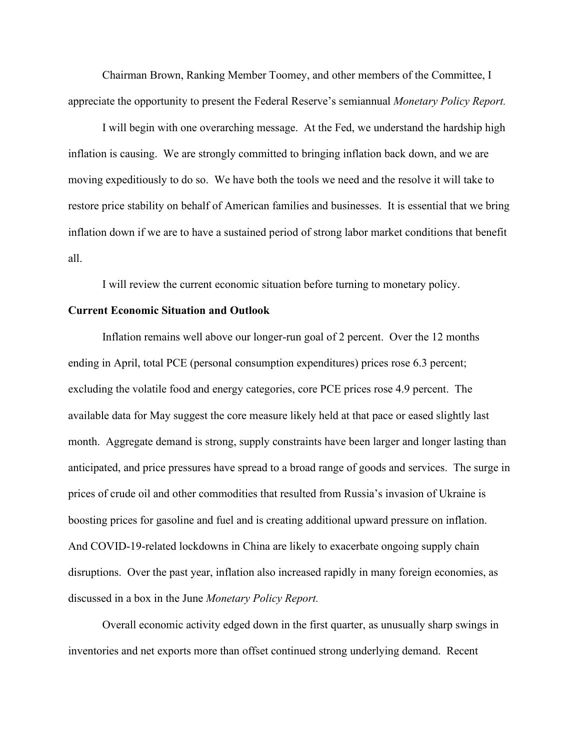Chairman Brown, Ranking Member Toomey, and other members of the Committee, I appreciate the opportunity to present the Federal Reserve's semiannual *Monetary Policy Report.*

I will begin with one overarching message. At the Fed, we understand the hardship high inflation is causing. We are strongly committed to bringing inflation back down, and we are moving expeditiously to do so. We have both the tools we need and the resolve it will take to restore price stability on behalf of American families and businesses. It is essential that we bring inflation down if we are to have a sustained period of strong labor market conditions that benefit all.

I will review the current economic situation before turning to monetary policy.

## **Current Economic Situation and Outlook**

Inflation remains well above our longer-run goal of 2 percent. Over the 12 months ending in April, total PCE (personal consumption expenditures) prices rose 6.3 percent; excluding the volatile food and energy categories, core PCE prices rose 4.9 percent. The available data for May suggest the core measure likely held at that pace or eased slightly last month. Aggregate demand is strong, supply constraints have been larger and longer lasting than anticipated, and price pressures have spread to a broad range of goods and services. The surge in prices of crude oil and other commodities that resulted from Russia's invasion of Ukraine is boosting prices for gasoline and fuel and is creating additional upward pressure on inflation. And COVID-19-related lockdowns in China are likely to exacerbate ongoing supply chain disruptions. Over the past year, inflation also increased rapidly in many foreign economies, as discussed in a box in the June *Monetary Policy Report.*

Overall economic activity edged down in the first quarter, as unusually sharp swings in inventories and net exports more than offset continued strong underlying demand. Recent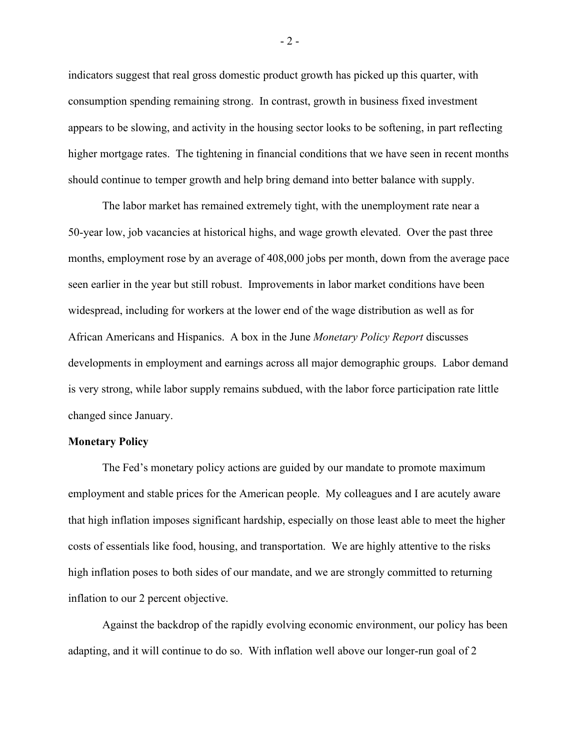indicators suggest that real gross domestic product growth has picked up this quarter, with consumption spending remaining strong. In contrast, growth in business fixed investment appears to be slowing, and activity in the housing sector looks to be softening, in part reflecting higher mortgage rates. The tightening in financial conditions that we have seen in recent months should continue to temper growth and help bring demand into better balance with supply.

The labor market has remained extremely tight, with the unemployment rate near a 50-year low, job vacancies at historical highs, and wage growth elevated. Over the past three months, employment rose by an average of 408,000 jobs per month, down from the average pace seen earlier in the year but still robust. Improvements in labor market conditions have been widespread, including for workers at the lower end of the wage distribution as well as for African Americans and Hispanics. A box in the June *Monetary Policy Report* discusses developments in employment and earnings across all major demographic groups. Labor demand is very strong, while labor supply remains subdued, with the labor force participation rate little changed since January.

## **Monetary Policy**

The Fed's monetary policy actions are guided by our mandate to promote maximum employment and stable prices for the American people. My colleagues and I are acutely aware that high inflation imposes significant hardship, especially on those least able to meet the higher costs of essentials like food, housing, and transportation. We are highly attentive to the risks high inflation poses to both sides of our mandate, and we are strongly committed to returning inflation to our 2 percent objective.

Against the backdrop of the rapidly evolving economic environment, our policy has been adapting, and it will continue to do so. With inflation well above our longer-run goal of 2

- 2 -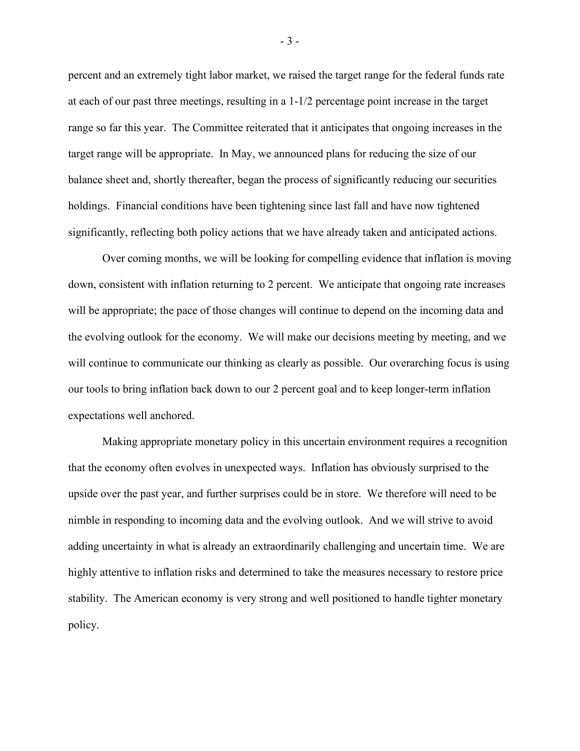percent and an extremely tight labor market, we raised the target range for the federal funds rate at each of our past three meetings, resulting in a 1-1/2 percentage point increase in the target range so far this year. The Committee reiterated that it anticipates that ongoing increases in the target range will be appropriate. In May, we announced plans for reducing the size of our balance sheet and, shortly thereafter, began the process of significantly reducing our securities holdings. Financial conditions have been tightening since last fall and have now tightened significantly, reflecting both policy actions that we have already taken and anticipated actions.

Over coming months, we will be looking for compelling evidence that inflation is moving down, consistent with inflation returning to 2 percent. We anticipate that ongoing rate increases will be appropriate; the pace of those changes will continue to depend on the incoming data and the evolving outlook for the economy. We will make our decisions meeting by meeting, and we will continue to communicate our thinking as clearly as possible. Our overarching focus is using our tools to bring inflation back down to our 2 percent goal and to keep longer-term inflation expectations well anchored.

Making appropriate monetary policy in this uncertain environment requires a recognition that the economy often evolves in unexpected ways. Inflation has obviously surprised to the upside over the past year, and further surprises could be in store. We therefore will need to be nimble in responding to incoming data and the evolving outlook. And we will strive to avoid adding uncertainty in what is already an extraordinarily challenging and uncertain time. We are highly attentive to inflation risks and determined to take the measures necessary to restore price stability. The American economy is very strong and well positioned to handle tighter monetary policy.

- 3 -